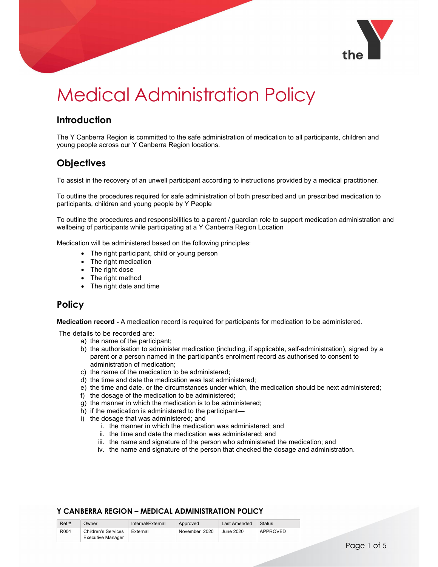

# Medical Administration Policy

## **Introduction**

The Y Canberra Region is committed to the safe administration of medication to all participants, children and young people across our Y Canberra Region locations.

# **Objectives**

To assist in the recovery of an unwell participant according to instructions provided by a medical practitioner.

To outline the procedures required for safe administration of both prescribed and un prescribed medication to participants, children and young people by Y People

To outline the procedures and responsibilities to a parent / guardian role to support medication administration and wellbeing of participants while participating at a Y Canberra Region Location

Medication will be administered based on the following principles:

- The right participant, child or young person
- The right medication
- The right dose
- The right method
- The right date and time

## Policy

Medication record - A medication record is required for participants for medication to be administered.

The details to be recorded are:

- a) the name of the participant;
- b) the authorisation to administer medication (including, if applicable, self-administration), signed by a parent or a person named in the participant's enrolment record as authorised to consent to administration of medication;
- c) the name of the medication to be administered;
- d) the time and date the medication was last administered;
- e) the time and date, or the circumstances under which, the medication should be next administered;
- f) the dosage of the medication to be administered;
- g) the manner in which the medication is to be administered;
- h) if the medication is administered to the participant—
- i) the dosage that was administered; and
	- i. the manner in which the medication was administered; and
	- ii. the time and date the medication was administered; and
	- iii. the name and signature of the person who administered the medication; and
	- iv. the name and signature of the person that checked the dosage and administration.

| Ref# | Jwner                      | Internal/External | Approved      | Last Amended | <b>Status</b> |
|------|----------------------------|-------------------|---------------|--------------|---------------|
| R004 | <b>Children's Services</b> | External          | November 2020 | June 2020    | APPROVED      |
|      | Executive Manager          |                   |               |              |               |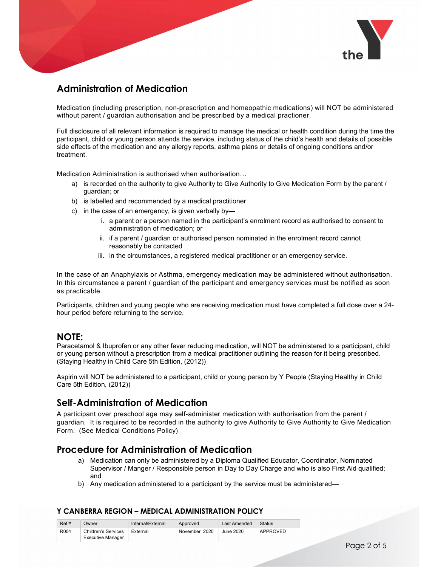

## Administration of Medication

Medication (including prescription, non-prescription and homeopathic medications) will NOT be administered without parent / guardian authorisation and be prescribed by a medical practioner.

Full disclosure of all relevant information is required to manage the medical or health condition during the time the participant, child or young person attends the service, including status of the child's health and details of possible side effects of the medication and any allergy reports, asthma plans or details of ongoing conditions and/or treatment.

Medication Administration is authorised when authorisation…

- a) is recorded on the authority to give Authority to Give Authority to Give Medication Form by the parent / guardian; or
- b) is labelled and recommended by a medical practitioner
- c) in the case of an emergency, is given verbally by
	- i. a parent or a person named in the participant's enrolment record as authorised to consent to administration of medication; or
	- ii. if a parent / guardian or authorised person nominated in the enrolment record cannot reasonably be contacted
	- iii. in the circumstances, a registered medical practitioner or an emergency service.

In the case of an Anaphylaxis or Asthma, emergency medication may be administered without authorisation. In this circumstance a parent / guardian of the participant and emergency services must be notified as soon as practicable.

Participants, children and young people who are receiving medication must have completed a full dose over a 24 hour period before returning to the service.

## NOTE:

Paracetamol & Ibuprofen or any other fever reducing medication, will NOT be administered to a participant, child or young person without a prescription from a medical practitioner outlining the reason for it being prescribed. (Staying Healthy in Child Care 5th Edition, (2012))

Aspirin will NOT be administered to a participant, child or young person by Y People (Staying Healthy in Child Care 5th Edition, (2012))

## Self-Administration of Medication

A participant over preschool age may self-administer medication with authorisation from the parent / guardian. It is required to be recorded in the authority to give Authority to Give Authority to Give Medication Form. (See Medical Conditions Policy)

## Procedure for Administration of Medication

- a) Medication can only be administered by a Diploma Qualified Educator, Coordinator, Nominated Supervisor / Manger / Responsible person in Day to Day Charge and who is also First Aid qualified; and
- b) Any medication administered to a participant by the service must be administered—

| Ref# | Owner               | Internal/External | Approved      | Last Amended | Status   |
|------|---------------------|-------------------|---------------|--------------|----------|
| R004 | Children's Services | External          | November 2020 | June 2020    | APPROVED |
|      | Executive Manager   |                   |               |              |          |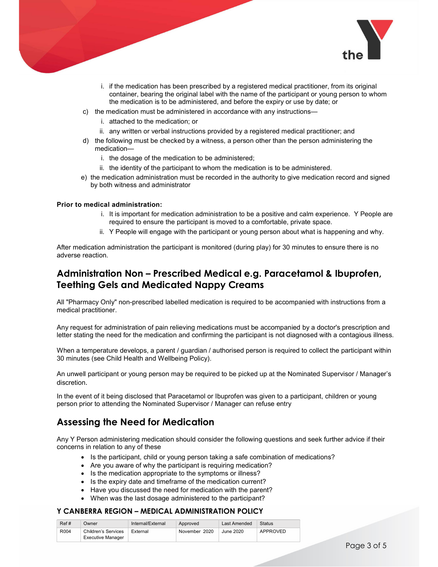

- i. if the medication has been prescribed by a registered medical practitioner, from its original container, bearing the original label with the name of the participant or young person to whom the medication is to be administered, and before the expiry or use by date; or
- c) the medication must be administered in accordance with any instructions
	- i. attached to the medication; or
	- ii. any written or verbal instructions provided by a registered medical practitioner; and
- d) the following must be checked by a witness, a person other than the person administering the medication
	- i. the dosage of the medication to be administered;
	- ii. the identity of the participant to whom the medication is to be administered.
- e) the medication administration must be recorded in the authority to give medication record and signed by both witness and administrator

#### Prior to medical administration:

- i. It is important for medication administration to be a positive and calm experience. Y People are required to ensure the participant is moved to a comfortable, private space.
- ii. Y People will engage with the participant or young person about what is happening and why.

After medication administration the participant is monitored (during play) for 30 minutes to ensure there is no adverse reaction.

## Administration Non – Prescribed Medical e.g. Paracetamol & Ibuprofen, Teething Gels and Medicated Nappy Creams

All "Pharmacy Only" non-prescribed labelled medication is required to be accompanied with instructions from a medical practitioner.

Any request for administration of pain relieving medications must be accompanied by a doctor's prescription and letter stating the need for the medication and confirming the participant is not diagnosed with a contagious illness.

When a temperature develops, a parent / guardian / authorised person is required to collect the participant within 30 minutes (see Child Health and Wellbeing Policy).

An unwell participant or young person may be required to be picked up at the Nominated Supervisor / Manager's discretion.

In the event of it being disclosed that Paracetamol or Ibuprofen was given to a participant, children or young person prior to attending the Nominated Supervisor / Manager can refuse entry

## Assessing the Need for Medication

Any Y Person administering medication should consider the following questions and seek further advice if their concerns in relation to any of these

- Is the participant, child or young person taking a safe combination of medications?
- Are you aware of why the participant is requiring medication?
- Is the medication appropriate to the symptoms or illness?
- Is the expiry date and timeframe of the medication current?
- Have you discussed the need for medication with the parent?
- When was the last dosage administered to the participant?

| Ref# | Owner                    | Internal/External | Approved      | Last Amended | Status   |
|------|--------------------------|-------------------|---------------|--------------|----------|
| R004 | Children's Services      | External          | November 2020 | June 2020    | APPROVED |
|      | <b>Executive Manager</b> |                   |               |              |          |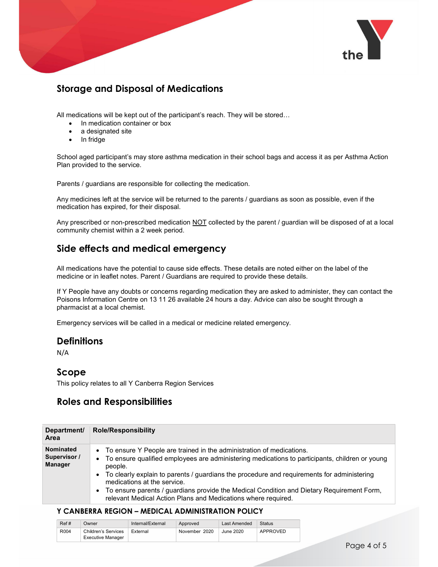

# Storage and Disposal of Medications

All medications will be kept out of the participant's reach. They will be stored…

- In medication container or box
- a designated site
- In fridge

School aged participant's may store asthma medication in their school bags and access it as per Asthma Action Plan provided to the service.

Parents / guardians are responsible for collecting the medication.

Any medicines left at the service will be returned to the parents / guardians as soon as possible, even if the medication has expired, for their disposal.

Any prescribed or non-prescribed medication NOT collected by the parent / guardian will be disposed of at a local community chemist within a 2 week period.

## Side effects and medical emergency

All medications have the potential to cause side effects. These details are noted either on the label of the medicine or in leaflet notes. Parent / Guardians are required to provide these details.

If Y People have any doubts or concerns regarding medication they are asked to administer, they can contact the Poisons Information Centre on 13 11 26 available 24 hours a day. Advice can also be sought through a pharmacist at a local chemist.

Emergency services will be called in a medical or medicine related emergency.

## **Definitions**

N/A

## Scope

This policy relates to all Y Canberra Region Services

## Roles and Responsibilities

| Department/<br><b>Area</b>                  |  |
|---------------------------------------------|--|
| Nominated<br>Supervisor /<br><b>Manager</b> |  |

| Ref# | Jwner               | Internal/External | Approved      | Last Amended | Status   |
|------|---------------------|-------------------|---------------|--------------|----------|
| R004 | Children's Services | External          | November 2020 | June 2020    | APPROVED |
|      | Executive Manager   |                   |               |              |          |